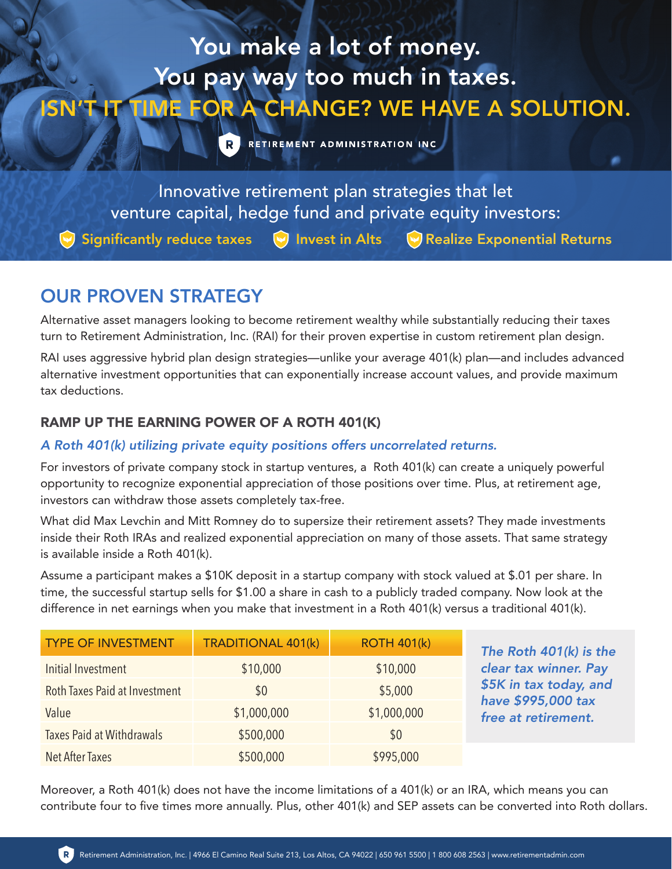# You make a lot of money. You pay way too much in taxes. ISN'T IT TIME FOR A CHANGE? WE HAVE A SOLUTION.

R RETIREMENT ADMINISTRATION INC.

Innovative retirement plan strategies that let venture capital, hedge fund and private equity investors:

 $\blacktriangleright$  Significantly reduce taxes  $\blacktriangleright$  Invest in Alts  $\blacktriangleright$  Realize Exponential Returns

# OUR PROVEN STRATEGY

Alternative asset managers looking to become retirement wealthy while substantially reducing their taxes turn to Retirement Administration, Inc. (RAI) for their proven expertise in custom retirement plan design.

RAI uses aggressive hybrid plan design strategies—unlike your average 401(k) plan—and includes advanced alternative investment opportunities that can exponentially increase account values, and provide maximum tax deductions.

### RAMP UP THE EARNING POWER OF A ROTH 401(K)

#### *A Roth 401(k) utilizing private equity positions offers uncorrelated returns.*

For investors of private company stock in startup ventures, a Roth 401(k) can create a uniquely powerful opportunity to recognize exponential appreciation of those positions over time. Plus, at retirement age, investors can withdraw those assets completely tax-free.

What did Max Levchin and Mitt Romney do to supersize their retirement assets? They made investments inside their Roth IRAs and realized exponential appreciation on many of those assets. That same strategy is available inside a Roth 401(k).

Assume a participant makes a \$10K deposit in a startup company with stock valued at \$.01 per share. In time, the successful startup sells for \$1.00 a share in cash to a publicly traded company. Now look at the difference in net earnings when you make that investment in a Roth 401(k) versus a traditional 401(k).

| <b>TYPE OF INVESTMENT</b>        | <b>TRADITIONAL 401(k)</b> | <b>ROTH 401(k)</b> | The Roth 401(k) is the                       |
|----------------------------------|---------------------------|--------------------|----------------------------------------------|
| Initial Investment               | \$10,000                  | \$10,000           | clear tax winner. Pay                        |
| Roth Taxes Paid at Investment    | \$0                       | \$5,000            | \$5K in tax today, and<br>have \$995,000 tax |
| Value                            | \$1,000,000               | \$1,000,000        | free at retirement.                          |
| <b>Taxes Paid at Withdrawals</b> | \$500,000                 | \$0                |                                              |
| Net After Taxes                  | \$500,000                 | \$995,000          |                                              |

Moreover, a Roth 401(k) does not have the income limitations of a 401(k) or an IRA, which means you can contribute four to five times more annually. Plus, other 401(k) and SEP assets can be converted into Roth dollars.